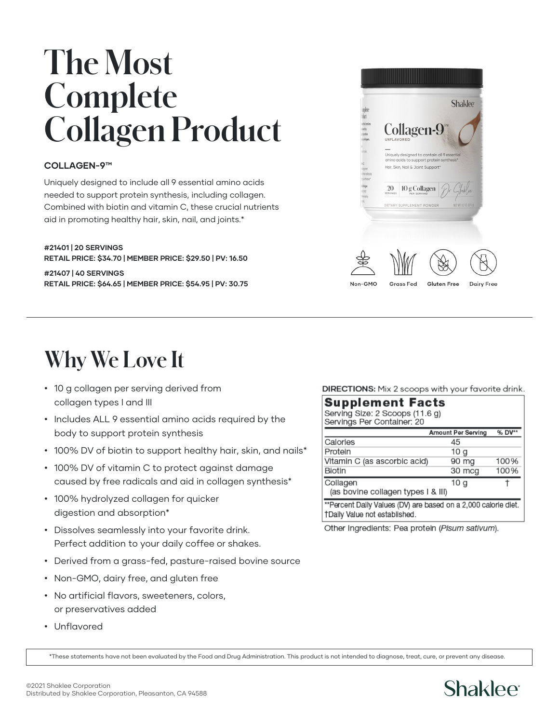# **The Most Complete Collagen Product**

#### **COLLAGEN-9™**

Uniquely designed to include all 9 essential amino acids needed to support protein synthesis, including collagen. Combined with biotin and vitamin C, these crucial nutrients aid in promoting healthy hair, skin, nail, and joints.\*

**#21401 | 20 SERVINGS RETAIL PRICE: \$34.70 | MEMBER PRICE: \$29.50 | PV: 16.50 #21407 | 40 SERVINGS RETAIL PRICE: \$64.65 | MEMBER PRICE: \$54.95 | PV: 30.75**



### **Why We Love It**

- 10 g collagen per serving derived from collagen types I and III
- Includes ALL 9 essential amino acids required by the body to support protein synthesis
- 100% DV of biotin to support healthy hair, skin, and nails\*
- 100% DV of vitamin C to protect against damage caused by free radicals and aid in collagen synthesis\*
- 100% hydrolyzed collagen for quicker digestion and absorption\*
- Dissolves seamlessly into your favorite drink. Perfect addition to your daily coffee or shakes.
- Derived from a grass-fed, pasture-raised bovine source
- Non-GMO, dairy free, and gluten free
- No artificial flavors, sweeteners, colors, or preservatives added
- Unflavored

DIRECTIONS: Mix 2 scoops with your favorite drink.

| <b>Supplement Facts</b><br>Serving Size: 2 Scoops (11.6 g)<br>Servings Per Container: 20        |                           |        |
|-------------------------------------------------------------------------------------------------|---------------------------|--------|
|                                                                                                 | <b>Amount Per Serving</b> | % DV** |
| Calories                                                                                        | 45                        |        |
| Protein                                                                                         | 10 <sub>q</sub>           |        |
| Vitamin C (as ascorbic acid)                                                                    | 90 mg                     | 100%   |
| Biotin                                                                                          | 30 mcg                    | 100%   |
| Collagen<br>(as bovine collagen types I & III)                                                  | 10 g                      |        |
| **Percent Daily Values (DV) are based on a 2,000 calorie diet.<br>†Daily Value not established. |                           |        |

Other Ingredients: Pea protein (Pisum sativum).

\*These statements have not been evaluated by the Food and Drug Administration. This product is not intended to diagnose, treat, cure, or prevent any disease.

### **Shaklee**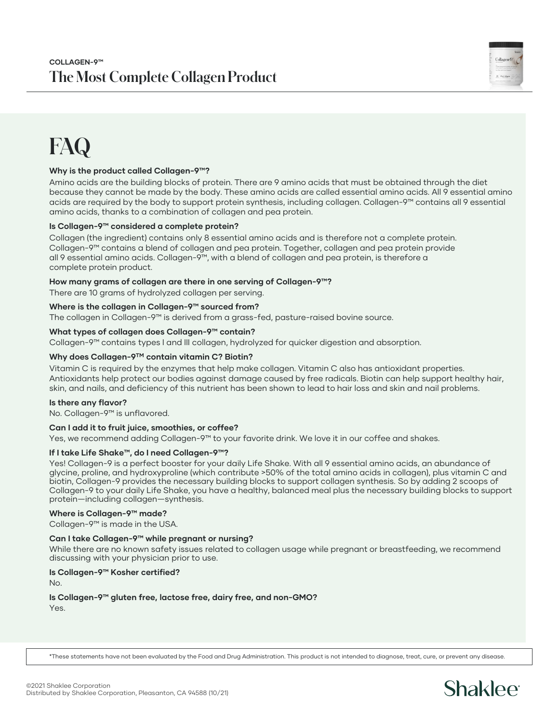

### **FAQ**

#### **Why is the product called Collagen-9™?**

Amino acids are the building blocks of protein. There are 9 amino acids that must be obtained through the diet because they cannot be made by the body. These amino acids are called essential amino acids. All 9 essential amino acids are required by the body to support protein synthesis, including collagen. Collagen-9™ contains all 9 essential amino acids, thanks to a combination of collagen and pea protein.

#### **Is Collagen-9™ considered a complete protein?**

Collagen (the ingredient) contains only 8 essential amino acids and is therefore not a complete protein. Collagen-9™ contains a blend of collagen and pea protein. Together, collagen and pea protein provide all 9 essential amino acids. Collagen-9™, with a blend of collagen and pea protein, is therefore a complete protein product.

#### **How many grams of collagen are there in one serving of Collagen-9™?**

There are 10 grams of hydrolyzed collagen per serving.

#### **Where is the collagen in Collagen-9™ sourced from?**

The collagen in Collagen-9™ is derived from a grass-fed, pasture-raised bovine source.

#### **What types of collagen does Collagen-9™ contain?**

Collagen-9™ contains types I and III collagen, hydrolyzed for quicker digestion and absorption.

#### **Why does Collagen-9TM contain vitamin C? Biotin?**

Vitamin C is required by the enzymes that help make collagen. Vitamin C also has antioxidant properties. Antioxidants help protect our bodies against damage caused by free radicals. Biotin can help support healthy hair, skin, and nails, and deficiency of this nutrient has been shown to lead to hair loss and skin and nail problems.

#### **Is there any flavor?**

No. Collagen-9™ is unflavored.

#### **Can I add it to fruit juice, smoothies, or coffee?**

Yes, we recommend adding Collagen-9™ to your favorite drink. We love it in our coffee and shakes.

#### **If I take Life Shake™, do I need Collagen-9™?**

Yes! Collagen-9 is a perfect booster for your daily Life Shake. With all 9 essential amino acids, an abundance of glycine, proline, and hydroxyproline (which contribute >50% of the total amino acids in collagen), plus vitamin C and biotin, Collagen-9 provides the necessary building blocks to support collagen synthesis. So by adding 2 scoops of Collagen-9 to your daily Life Shake, you have a healthy, balanced meal plus the necessary building blocks to support protein—including collagen—synthesis.

#### **Where is Collagen-9™ made?**

Collagen-9™ is made in the USA.

#### **Can I take Collagen-9™ while pregnant or nursing?**

While there are no known safety issues related to collagen usage while pregnant or breastfeeding, we recommend discussing with your physician prior to use.

#### **Is Collagen-9™ Kosher certified?**

No.

**Is Collagen-9™ gluten free, lactose free, dairy free, and non-GMO?** Yes.

\*These statements have not been evaluated by the Food and Drug Administration. This product is not intended to diagnose, treat, cure, or prevent any disease.